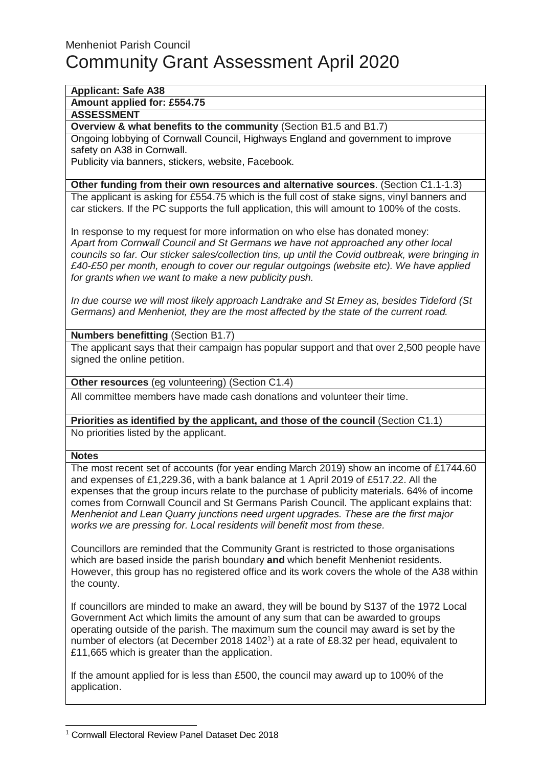# **Applicant: Safe A38**

**Amount applied for: £554.75**

### **ASSESSMENT**

**Overview & what benefits to the community** (Section B1.5 and B1.7)

Ongoing lobbying of Cornwall Council, Highways England and government to improve safety on A38 in Cornwall.

Publicity via banners, stickers, website, Facebook.

#### **Other funding from their own resources and alternative sources**. (Section C1.1-1.3)

The applicant is asking for £554.75 which is the full cost of stake signs, vinyl banners and car stickers. If the PC supports the full application, this will amount to 100% of the costs.

In response to my request for more information on who else has donated money: Apart from Cornwall Council and St Germans we have not approached any other local councils so far. Our sticker sales/collection tins, up until the Covid outbreak, were bringing in £40-£50 per month, enough to cover our regular outgoings (website etc). We have applied for grants when we want to make a new publicity push.

In due course we will most likely approach Landrake and St Erney as, besides Tideford (St Germans) and Menheniot, they are the most affected by the state of the current road.

### **Numbers benefitting** (Section B1.7)

The applicant says that their campaign has popular support and that over 2,500 people have signed the online petition.

**Other resources** (eg volunteering) (Section C1.4)

All committee members have made cash donations and volunteer their time.

**Priorities as identified by the applicant, and those of the council** (Section C1.1) No priorities listed by the applicant.

#### **Notes**

l

The most recent set of accounts (for year ending March 2019) show an income of £1744.60 and expenses of £1,229.36, with a bank balance at 1 April 2019 of £517.22. All the expenses that the group incurs relate to the purchase of publicity materials. 64% of income comes from Cornwall Council and St Germans Parish Council. The applicant explains that: Menheniot and Lean Quarry junctions need urgent upgrades. These are the first major works we are pressing for. Local residents will benefit most from these.

Councillors are reminded that the Community Grant is restricted to those organisations which are based inside the parish boundary **and** which benefit Menheniot residents. However, this group has no registered office and its work covers the whole of the A38 within the county.

If councillors are minded to make an award, they will be bound by S137 of the 1972 Local Government Act which limits the amount of any sum that can be awarded to groups operating outside of the parish. The maximum sum the council may award is set by the number of electors (at December 2018 1402<sup>1</sup>) at a rate of £8.32 per head, equivalent to £11,665 which is greater than the application.

If the amount applied for is less than £500, the council may award up to 100% of the application.

<sup>1</sup> Cornwall Electoral Review Panel Dataset Dec 2018